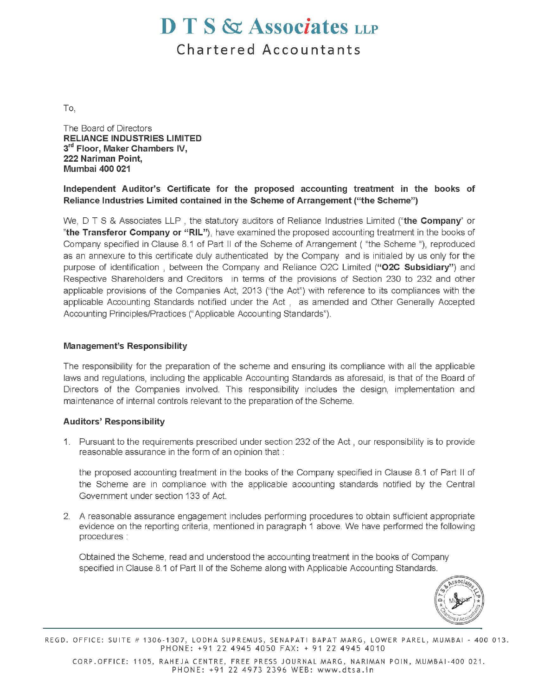# **D T S & Associates LLP**

**Chartered Accountants** 

To,

The Board of Directors **RELIANCE INDUSTRIES LIMITED 3rd Floor, Maker Chambers IV, 222 Nariman Point, Mumbai 400 021** 

## **Independent Auditor's Certificate for the proposed accounting treatment in the books of Reliance Industries Limited contained in the Scheme of Arrangement ("the Scheme")**

We, D T S & Associates LLP , the statutory auditors of Reliance Industries Limited **("the Company''** or **"the Transferor Company or "RIL"),** have examined the proposed accounting treatment in the books of Company specified in Clause 8.1 of Part II of the Scheme of Arrangement ( "the Scheme "), reproduced as an annexure to this certificate duly authenticated by the Company and is initialed by us only for the purpose of identification , between the Company and Reliance 02C Limited **("02C Subsidiary")** and Respective Shareholders and Creditors in terms of the provisions of Section 230 to 232 and other applicable provisions of the Companies Act, 2013 ("the Act") with reference to its compliances with the applicable Accounting Standards notified under the Act , as amended and other Generally Accepted Accounting Principles/Practices ("Applicable Accounting Standards").

## **Management's Responsibility**

The responsibility for the preparation of the scheme and ensuring its compliance with all the applicable laws and regulations, including the applicable Accounting Standards as aforesaid, is that of the Board of Directors of the Companies involved. This responsibility includes the design, implementation and maintenance of internal controls relevant to the preparation of the Scheme.

#### **Auditors' Responsibility**

1. Pursuant to the requirements prescribed under section 232 of the Act , our responsibility is to provide reasonable assurance in the form of an opinion that :

the proposed accounting treatment in the books of the Company specified in Clause 8.1 of Part II of the Scheme are in compliance with the applicable accounting standards notified by the Central Government under section 133 of Act.

2. A reasonable assurance engagement includes performing procedures to obtain sufficient appropriate evidence on the reporting criteria, mentioned in paragraph 1 above. We have performed the following procedures :

Obtained the Scheme, read and understood the accounting treatment in the books of Company specified in Clause 8.1 of Part II of the Scheme along with Applicable Accounting Standards.



REGD. OFFICE: SUITE # 1306-1307, LODHA SUPREMUS, SENAPATI BAPAT MARG, LOWER PAREL, MUMBAI- 400 013. PHONE: +91 22 4945 4050 FAX: + 91 22 4945 4010

CORP.OFFICE: 1105, RAHEJA CENTRE, FREE PRESS JOURNAL MARG, NARIMAN POIN, MUMBAI-400 021. PHONE: +91 22 4973 2396 WEB: www.dtsa.in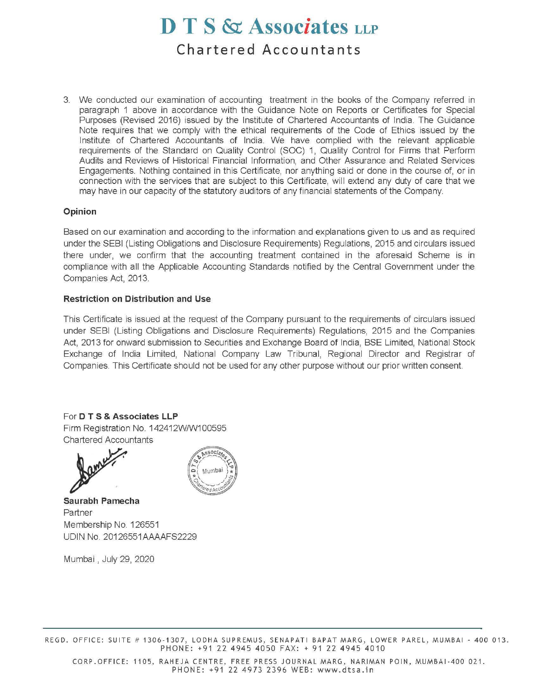# **D T S & Associates LLP Chartered Accountants**

3. We conducted our examination of accounting treatment in the books of the Company referred in paragraph 1 above in accordance with the Guidance Note on Reports or Certificates for Special Purposes (Revised 2016) issued by the Institute of Chartered Accountants of India. The Guidance Note requires that we comply with the ethical requirements of the Code of Ethics issued by the Institute of Chartered Accountants of India. We have complied with the relevant applicable requirements of the Standard on Quality Control (SOC) 1, Quality Control for Firms that Perform Audits and Reviews of Historical Financial Information, and Other Assurance and Related Services Engagements. Nothing contained in this Certificate, nor anything said or done in the course of, or in connection with the services that are subject to this Certificate, will extend any duty of care that we may have in our capacity of the statutory auditors of any financial statements of the Company.

#### **Opinion**

Based on our examination and according to the information and explanations given to us and as required under the SEBI (Listing Obligations and Disclosure Requirements) Regulations, 2015 and circulars issued there under, we confirm that the accounting treatment contained in the aforesaid Scheme is in compliance with all the Applicable Accounting Standards notified by the Central Government under the Companies Act, 2013.

#### **Restriction on Distribution and Use**

This Certificate is issued at the request of the Company pursuant to the requirements of circulars issued under SEBI (Listing Obligations and Disclosure Requirements) Regulations, 2015 and the Companies Act, 2013 for onward submission to Securities and Exchange Board of India, BSE Limited, National Stock Exchange of India Limited, National Company Law Tribunal, Regional Director and Registrar of Companies. This Certificate should not be used for any other purpose without our prior written consent.

# For **D T S & Associates LLP**

Firm Registration No. 142412W/W100595 Chartered Accountants





**Saurabh Pamecha**  Partner Membership No. 126551 UDIN No. 20126551AAAAFS2229

Mumbai , July 29, 2020

REGD. OFFICE: SUITE # 1306-1307, LODHA SUPREMUS, SENAPATI BAPAT MARG, LOWER PAREL, MUMBAI- 400 013. PHONE: +91 22 4945 4050 FAX: + 91 22 4945 4010

CORP.OFFICE: 1105, RAHEJA CENTRE, FREE PRESS JOURNAL MARG, NARIMAN POIN, MUMBAI-400 021. PHONE: +91 22 4973 2396 WEB: www.dtsa.in